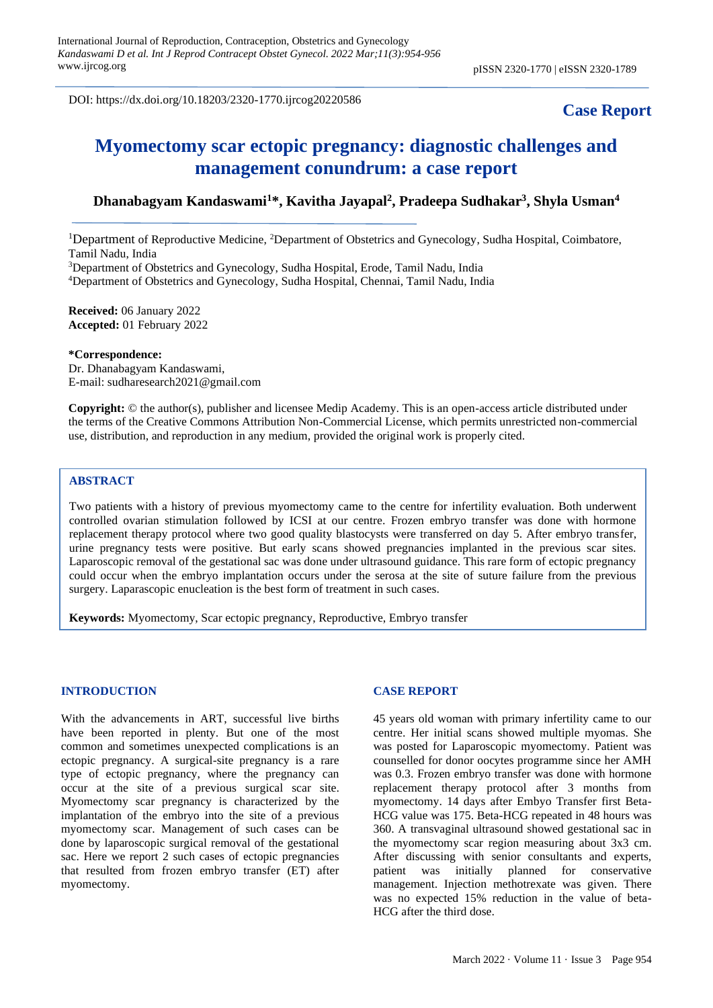DOI: https://dx.doi.org/10.18203/2320-1770.ijrcog20220586

## **Case Report**

# **Myomectomy scar ectopic pregnancy: diagnostic challenges and management conundrum: a case report**

### **Dhanabagyam Kandaswami<sup>1</sup>\*, Kavitha Jayapal<sup>2</sup> , Pradeepa Sudhakar<sup>3</sup> , Shyla Usman<sup>4</sup>**

<sup>1</sup>Department of Reproductive Medicine, <sup>2</sup>Department of Obstetrics and Gynecology, Sudha Hospital, Coimbatore, Tamil Nadu, India

<sup>3</sup>Department of Obstetrics and Gynecology, Sudha Hospital, Erode, Tamil Nadu, India <sup>4</sup>Department of Obstetrics and Gynecology, Sudha Hospital, Chennai, Tamil Nadu, India

**Received:** 06 January 2022 **Accepted:** 01 February 2022

**\*Correspondence:**

Dr. Dhanabagyam Kandaswami, E-mail: [sudharesearch2021@gmail.com](mailto:sudharesearch2021@gmail.com)

**Copyright:** © the author(s), publisher and licensee Medip Academy. This is an open-access article distributed under the terms of the Creative Commons Attribution Non-Commercial License, which permits unrestricted non-commercial use, distribution, and reproduction in any medium, provided the original work is properly cited.

#### **ABSTRACT**

Two patients with a history of previous myomectomy came to the centre for infertility evaluation. Both underwent controlled ovarian stimulation followed by ICSI at our centre. Frozen embryo transfer was done with hormone replacement therapy protocol where two good quality blastocysts were transferred on day 5. After embryo transfer, urine pregnancy tests were positive. But early scans showed pregnancies implanted in the previous scar sites. Laparoscopic removal of the gestational sac was done under ultrasound guidance. This rare form of ectopic pregnancy could occur when the embryo implantation occurs under the serosa at the site of suture failure from the previous surgery. Laparascopic enucleation is the best form of treatment in such cases.

**Keywords:** Myomectomy, Scar ectopic pregnancy, Reproductive, Embryo transfer

#### **INTRODUCTION**

With the advancements in ART, successful live births have been reported in plenty. But one of the most common and sometimes unexpected complications is an ectopic pregnancy. A surgical-site pregnancy is a rare type of ectopic pregnancy, where the pregnancy can occur at the site of a previous surgical scar site. Myomectomy scar pregnancy is characterized by the implantation of the embryo into the site of a previous myomectomy scar. Management of such cases can be done by laparoscopic surgical removal of the gestational sac. Here we report 2 such cases of ectopic pregnancies that resulted from frozen embryo transfer (ET) after myomectomy.

#### **CASE REPORT**

45 years old woman with primary infertility came to our centre. Her initial scans showed multiple myomas. She was posted for Laparoscopic myomectomy. Patient was counselled for donor oocytes programme since her AMH was 0.3. Frozen embryo transfer was done with hormone replacement therapy protocol after 3 months from myomectomy. 14 days after Embyo Transfer first Beta-HCG value was 175. Beta-HCG repeated in 48 hours was 360. A transvaginal ultrasound showed gestational sac in the myomectomy scar region measuring about 3x3 cm. After discussing with senior consultants and experts, patient was initially planned for conservative management. Injection methotrexate was given. There was no expected 15% reduction in the value of beta-HCG after the third dose.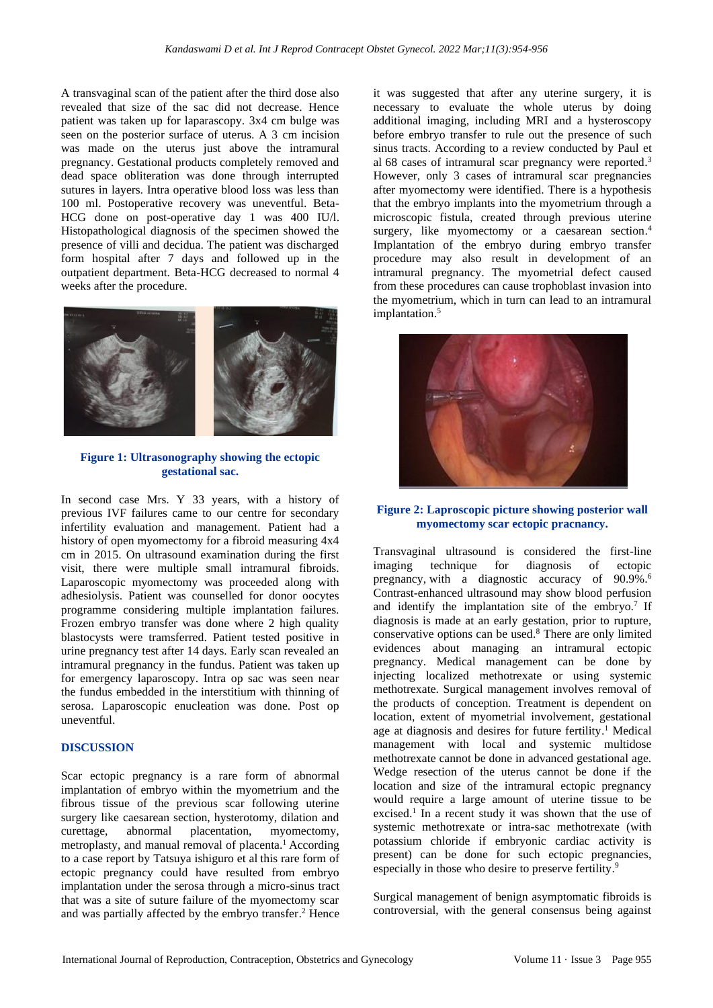A transvaginal scan of the patient after the third dose also revealed that size of the sac did not decrease. Hence patient was taken up for laparascopy. 3x4 cm bulge was seen on the posterior surface of uterus. A 3 cm incision was made on the uterus just above the intramural pregnancy. Gestational products completely removed and dead space obliteration was done through interrupted sutures in layers. Intra operative blood loss was less than 100 ml. Postoperative recovery was uneventful. Beta-HCG done on post-operative day 1 was 400 IU/l. Histopathological diagnosis of the specimen showed the presence of villi and decidua. The patient was discharged form hospital after 7 days and followed up in the outpatient department. Beta-HCG decreased to normal 4 weeks after the procedure.



#### **Figure 1: Ultrasonography showing the ectopic gestational sac.**

In second case Mrs. Y 33 years, with a history of previous IVF failures came to our centre for secondary infertility evaluation and management. Patient had a history of open myomectomy for a fibroid measuring 4x4 cm in 2015. On ultrasound examination during the first visit, there were multiple small intramural fibroids. Laparoscopic myomectomy was proceeded along with adhesiolysis. Patient was counselled for donor oocytes programme considering multiple implantation failures. Frozen embryo transfer was done where 2 high quality blastocysts were tramsferred. Patient tested positive in urine pregnancy test after 14 days. Early scan revealed an intramural pregnancy in the fundus. Patient was taken up for emergency laparoscopy. Intra op sac was seen near the fundus embedded in the interstitium with thinning of serosa. Laparoscopic enucleation was done. Post op uneventful.

#### **DISCUSSION**

Scar ectopic pregnancy is a rare form of abnormal implantation of embryo within the myometrium and the fibrous tissue of the previous scar following uterine surgery like caesarean section, hysterotomy, dilation and curettage, abnormal placentation, myomectomy, metroplasty, and manual removal of placenta.<sup>1</sup> According to a case report by Tatsuya ishiguro et al this rare form of ectopic pregnancy could have resulted from embryo implantation under the serosa through a micro-sinus tract that was a site of suture failure of the myomectomy scar and was partially affected by the embryo transfer. <sup>2</sup> Hence it was suggested that after any uterine surgery, it is necessary to evaluate the whole uterus by doing additional imaging, including MRI and a hysteroscopy before embryo transfer to rule out the presence of such sinus tracts. According to a review conducted by Paul et al 68 cases of intramural scar pregnancy were reported. 3 However, only 3 cases of intramural scar pregnancies after myomectomy were identified. There is a hypothesis that the embryo implants into the myometrium through a microscopic fistula, created through previous uterine surgery, like myomectomy or a caesarean section.<sup>4</sup> Implantation of the embryo during embryo transfer procedure may also result in development of an intramural pregnancy. The myometrial defect caused from these procedures can cause trophoblast invasion into the myometrium, which in turn can lead to an intramural implantation. 5



#### **Figure 2: Laproscopic picture showing posterior wall myomectomy scar ectopic pracnancy.**

Transvaginal ultrasound is considered the first-line imaging technique for diagnosis of ectopic pregnancy, with a diagnostic accuracy of 90.9%. 6 Contrast-enhanced ultrasound may show blood perfusion and identify the implantation site of the embryo.<sup>7</sup> If diagnosis is made at an early gestation, prior to rupture, conservative options can be used. <sup>8</sup> There are only limited evidences about managing an intramural ectopic pregnancy. Medical management can be done by injecting localized methotrexate or using systemic methotrexate. Surgical management involves removal of the products of conception. Treatment is dependent on location, extent of myometrial involvement, gestational age at diagnosis and desires for future fertility. <sup>1</sup> Medical management with local and systemic multidose methotrexate cannot be done in advanced gestational age. Wedge resection of the uterus cannot be done if the location and size of the intramural ectopic pregnancy would require a large amount of uterine tissue to be excised. 1 In a recent study it was shown that the use of systemic methotrexate or intra-sac methotrexate (with potassium chloride if embryonic cardiac activity is present) can be done for such ectopic pregnancies, especially in those who desire to preserve fertility.<sup>9</sup>

Surgical management of benign asymptomatic fibroids is controversial, with the general consensus being against